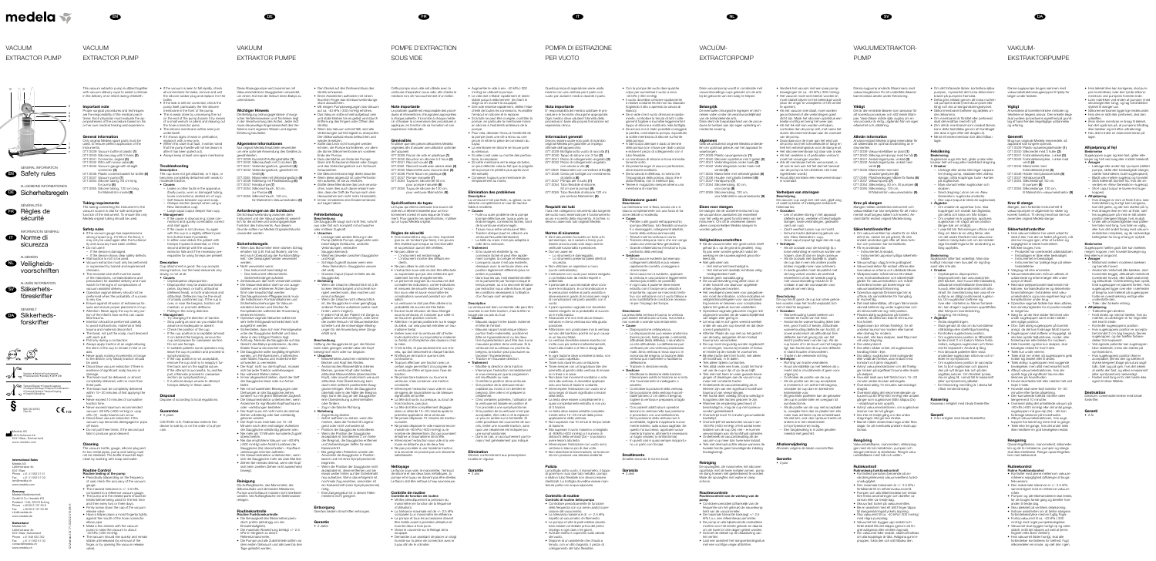This vacuum extractor pump is utilized together with vacuum delivery cups to assist a clinician in the delivery of an infant during childbirth.

- Important note
	- roper surgical procedures and technique are the responsibility of the medical practitioner. Each physician must evaluate the arpropriateness of the procedure based on his or her own medical training and experience.

# General information

- nly original Medela spare parts must be used, to ensure perfect application of the instruments. 077.0039 Vacuum bottle of plastic (1
- 077.0040 Silicone plug with 3 holes (2) 077.0041 Connector, angled (3)
- 77.0042 Ditto with screw valve (4) 077.0045 Vacuum-gauge with straight connector (5)
- 077.0046 Plastic covered basket for bottle (6) 77.0047 Vacuum pump (7)
- 077.0054 Silicone tubing, 50 cm long, for pump (8)
- 077.0055 Silicone tubing, 120 cm long, for Malmström model (9)

The tubing connecting the instrument to the vacuum source is vital for safe and proper unction of the instrument. To ensure this only Medela original tubing should be used.

# Tubing requirements

# Safety rules

- If the vacuum gauge has experienced strong impact (e.g. if it fell on the floor), may only be used again after the fuctionality and accuracy have been verified. • Do not use if:
- If the device is damaged - If the device shows clear safety defects
- Wall suction is not to be used. • Vacuum extraction must only be performed or supervised by trained and experienced clinicians.
- The neonatal care staff must be aware of the indications, contraindications and precautions for assisted delivery and must watch for the signs of complications of
- vacuum assisted delivery. • Operative vaginal delivery should not be performed when the probability of success
- is very low. • Ensure against intrusion of extraneous tissues and ensure proper placement of cup.
- Attention: Never apply the cup to any portion of the infant's face as this can cause fetal trauma.
- Insertion should be performed carefully to avoid malfunctions, maternal or fetal trauma and maternal discomfort.
- The head, not just the scalp, must descend with each pull. • Pull only during a contraction.
- Always apply traction at an angle allowing the stem of the cup to remain in-line or onaxis.
- Never apply rocking movements or torque to the device; only steady traction should be used.
- Discontinue vacuum extraction if there is evidence of significant scalp trauma or
- damage. • The head must be delivered, or almos completely delivered, with no more than
- hree pulls. • The head must be completely delivered within 15–20 minutes of first applying the
- cup. • Never exceed 10 minutes of cumulative traction time.
- Never exceed maximum recommended vacuum -80 kPa (-600 mmHg) or «pop offs» (2) - scalp trauma can occur.
- Discontinue vacuum extraction if the vacuum cup becomes disengaged or pops off twice.
- Do not pull three times, if the second pull fails to produce good descent.

# גeaning

- If the vacuum is seen to fall rapidly, check all connections for leaks; remove and wet the silicone rubber plug and replace it in the
- bottle. • If the leak is still not corrected, check the pump itself, particularly the thin silicone
- membrane in the front of the pump. • This is easily done by unscrewing the nut on the end of the pump (loosen it by means
- of a small wrench or pliers) and drawing out the hose connector piece • The silicone membrane will be seen just
- underneath. • If it shows signs of wear or perforation
- eplace it with a new one. • (When this valve is at fault, it will be noted
- that the pump handle will not be drawn in after it has been pulled out).
- Always keep at least one spare membrane.

- **Causes** – Leaks or other faults in the apparatus
- faulty pump, worn or damaged tubing, loose connections, dented rim of cup).
- Soft tissues between cup and scalp
- Oblique traction (except when using a New Generation cup).
- Large caput (caput deeper than cup). **Management** If the cause is obvious (e.g. loose con-
- nection) and quickly correctable, correct and start again. If the cause is not obvious, try again
- with the cup in a slightly different position (further back if possible). In either case deliver the patient with
- forceps if speed is essential, or if the second attempt with the vacuum extractor fails and if the necessary prerequisites for using forceps are present

The vacuum bottle, gauge, silicone plug and its two metal pipes, pump and tubing must not be sterilized. The bottle should be kept clean by washing with soap and water.

# Routine Control

- Cephalopelvic disproportion – Disproportion may be anatomical (small pelvis, big head, or both), attitudinal (deflexed head), or both anatomical and attitudinal. Deflexion may be the result of a badly positioned cup. If the cup is over, or near the bregma, traction will maintain, or promote deflexion. – Pulling in the wrong direction.
- Management
- Try changing the direction of traction. – Stop pulling as soon as you realize that advance is inadequate or absent.
- Check the position of the cup. If the cup position is acceptable (at least 2 cm behind the bregma), remove the cup and prepare for caesarean section.
- Do not use forceps. – In suitable patients some operators may leave the cup in position and proceed to symphysiotomy.
- If the cup position is not acceptable remove the cup and try to reapply it further back and on the sagittal suture. If the attempt is successful, try anothe pull, otherwise proceed to caesarean
- section (or symphysiotomy). – It is almost always unwise to attempt forceps delivery in these cases

- Routine testing of the pump • Periodically (depending on the frequenc of use) check the accuracy of the vacuum gauge.
- The maximal tolerance is +/- 2.5 kPa compared to a reference vacuum gauge.
- The pump and the related parts should be tested before being used for the first time
- and then every two or three days. • Firmly screw down the cap of the vacuum
- release valve • Have a helper place a moist fingertip tightly against the mouth of the hose connector
- elbow pipe. • Make a few strokes with the vacuum
- pump to raise the vacuum to about -40 kPa (-300 mmHg).
- The vacuum should rise quickly and remain stable until released (by removal of the finger, or by opening the vacuum release valve).

Nur original Medela Ersatzteile verwenden um eine optimale Anwendung des Gerätes zu gewährleisten. 77.0039 Kunststoff Auffangbehälter (1)

077.0040 Silikonaufsatz mit 3 Löchern (2) 77.0041 Verbindungsstück, gewinkelt (3) 077.0042 Verbindungsstück, gewinkelt mit Ventil (4) 077.0045 Manometer mit Verbindungsstück (5

077.0046 Halterung mit Plastiküberzug (6)

77.0047 Handpumpe (7) 077.0054 Silikonschlauch, 50 cm, zur Pumpe (8) 077.0055 Silikonschlauch, 120 cm,

• Wenn das Manometer einen starken Schla erhalten hat (z.B. Fall auf Boden), darf es erst nach Überprüfung der Funktionsfähigkeit / der Genauigkeit wieder verwendet

- Das Instrument beschädigt is Das Instrument offensichtlich Sicherheitsmängel aufweist. • Zentralvakuum darf nicht verwendet werden. • Die Vakuumextraktion darf nur von ausgebildeten und erfahrenen Ärzten durchgeführt oder beaufsichtigt werden. • Das Neugeborenen-Pflegepersonal muss die Indikationen, Kontraindikationen und Sicherheitsvorkehrungen für Vakuumextraktion kennen und Zeichen für Komplikationen während der Anwendung

#### Troubleshooting Description

The cup does not get attached, or it slips, or becomes completely detached with weak to moderate traction.

> kPa im Vergleich zu einem leferenzmanometer.

# Description

Cup attachment is good: the cup accepts strong traction, but the head descends very lowly, or not at all. • Causes

# Disposal

Dispose of according to local regulations.

# **Guarantee**

• 2 years

– Missverhältnis zwischen mütterlicher Becken und Kopf des Kindes. – Anatomisches Missverhältnis (kleines Becken, arosser Kopf oder beides attitudinal Missverhältnis (überstreckter Kopf), oder sowohl anatomisch wie auch attitudinal. Eine Überstreckung kann durch eine schlecht positionierte Saugglocke erfolgen. Wenn die Saugglocke oberhalb oder in der Nähe der Bregma liegt, kann der Zug an der Saugglocke eine Überstreckung aufrechterhalten

CAUTION: U.S. Federal law restricts this device to sale by or on the order of a physician.

Diese Absaugpumpe wird zusammen mit Vakuumextraktions-Saugglocken verwendet,

um einem Arzt bei der Geburt eines Babys zu unterstützen.

# Wichtiger Hinweis

Die Befolgung ordnungsgemässer chirurgischer Verfahrensweisen und Techniken lie in der Verantwortung des Arztes. Jeder Arz muss die jeweilige Angemessenheit des Verfahrens nach eigenem Wissen und eigener Erfahrung beurteilen.

# Allgemeine Informationen

Le praticien qualifié est responsable des proce dures et interventions chirurgicales appropriée à chaque patiente. Il incombe à chaque médecin d'évaluer la convenance des procédures à appliquer, en fonction de sa formation et son expérience individuelle.

für Malmström Vakuumextraktor (9)

Anforderungen an die Schläuche Die Schlauchverbindung zwischen dem nstrument und der Vakuumquelle ist wesent lich für die sichere und ordnungsgemässe Funktion des Instruments. Aus diesem Grunde sollten nur Medela Originalschläuche

verwendet werden.

werden.

**Sicherheitsregeln** 

• Nicht verwenden wenn:

erkennen können.

• Operative vaginale Geburten sollten bei sehr tiefer Erfolgswahrscheinlichkeit nicht

ausgeführt werden.

- Si le manomètre a reçu un choc important (par ex. en tombant par terre), il ne pourra être réutilisé que lorsque sa fonctionnalite et sa précision auront été vérifiées.
- Ne pas utiliser si: – L'instrument est endommagé. – L'instrument montre des défauts évi-
- dents. • Ne pas utiliser le vide central • L'extraction sous vide ne doit être effectuée
- ou supervisée que par des médecins spécialement formés et expérimentés. **• Le personnel soignant du nouveau-né doit**
- connaître les indications, contre-indications et mesures de sécurité relatives à l'extraction sous vide et savoir reconnaître les complications survenant pendant son utilisation. • La ventouse ne doit pas être utilisée si la
- ist, die Saugglocke in einer geringfügig anderen Position aufsetzen (weiter nach – In jedem Fall ist der Patient mit Zange zu probabilité de succès est très faible. • Exclure toute intrusion de tissu étranger
	- sous la ventouse, et s'assurer que celle-ci se trouve en position correcte. • Attention: ne jamais positionner sur le visage du bébé, car cela pourrait entraîner un trau-
	- matisme foetal. • Insérer avec soin la ventouse afin d'éviter toute dysfonction ou traumatisme maternel
	- ou foetal, et d'empêcher des douleurs chez la mère. • C'est la tête, et pas seulement le cuir chevelu, qui doit descendre à chaque traction.
	- N'effectuer de traction que lors des contractions. • Toujours effectuer une traction avec un
	- certain angle permettant à la poignée de la ventouse d'être en ligne avec l'axe de traction. • Ne jamais faire balancer ou tourner la
	- ventouse, mais conserver une traction constante.
	- Interrompre l'extraction sous vide en cas de signes de traumatisme ou de blessure significatifs de la tête.
	- La tête doit sortir, ou presque, au bout de trois tractions, pas plus.
	- La tête doit être complètement dégagée dans un délai de 15–20 minutes après la première application de la ventouse.
	- Ne jamais dépasser 10 minutes de traction cumulée.
	- Ne jamais dépasser le vide maximal recommandé de -80 kPa (-600 mmHg) ou le nombre de désinsertions (2x) qui pourraient
	- entraîner un traumatisme de la tête. • Interrompre l'extraction sous vide si la ventouse se détache plus de deux fois.
	- Ne pas procéder à une troisième traction si la seconde ne produit pas une descente satisfaisante.

• Sicherstellen, dass sich kein Fremdgewebe unter der Saugglocke befindet und dass diese in der richtigen Position liegt. • Achtung: Niemals die Saugglocke auf das Gesicht des Babys positionieren, da dies fötales Trauma verursachen kann. • Die Saugglocke sollte sorgfältig eingeführt werden, um Fehlfunktionen, mütterliches oder fötales Trauma und mütterliche Be-

schwerden zu vermeiden.

• Der Kopf, nicht nur die Kopfhaut, müssen sich bei jeder Traktion weiterbewegei • Nur während Wehen ziehen.

- ontrôle de fonction de routine • Vérifier périodiquement la précision du manomètre (en fonction de la fréquence d'utilisation).
- La tolérance maximale est de +/- 2.5 kPa comparée à un manomètre de référence • La pompe et tous les accessoires doivent
- être testés avant la première utilisation et tous les deux à trois jours.
- Visser le couvercle sur le filetage de la soupape.
- Demander à un assistant de placer un doigt humide sur la pièce de connection avec le tuyau afin de le colmater.

• Augmenter le vide à env. -40 kPa (-300 mmHg) en utilisant la pompe. • Le vide doit s'établir rapidement et reste

• Immer abgewinkelt ziehen, damit der Griff der Saugglocke linear oder zur Achse

bleibt.

• Nie mit schaukelnden Bewegungen oder Drehungen an der Saugglocke ziehen, sondern nur mit gleich bleibender Zugkraft. • Die Vakuumextraktion unterbrechen, wenn Anzeichen für signifikante Kopfhauttrauma

oder -verletzungen bestehen.

• Der Kopf muss mit nicht mehr als dreimal Ziehen vollständig oder fast vollständig

- héité de toutes les connexions. Humidifie
- 
- la pompe (avec une clé à écrou ou une
- La membrane en silicone se trouve juste
- Si celle-ci est usée ou montre des perfora
- on peut détecter cela au fait que la poignée
- de la pompe ne pénètre plus après avoir été extraite).
- 

geboren werden.

• Der Kopf muss innerhalb von 15–20 Minuten nach dem erstmaligen Aufsetzen der Saugglocke vollständig geboren sein. • Nie mehr als 10 Minuten kumulierte Zugzeit

überschreiten.

• Nie das empfohlene Vakuum von -80 kPa (-600 mmHg) oder Anzahl Loslösen der Saugglocke (2x) überschreiten – Kopfhaut-

verletzungen könnten auftreten. • Die Vakuumextraktion unterbrechen, wenn sich die Saugglocke mehr als zwei Mal löst. • Ziehen Sie niemals dreimal, wenn der Kopf sich beim zweiten Ziehen nicht ausreichend

- **Causes**
- de la ventouse endommagé).
- La taille du crane n'est pas adaptée
- **Traitement**
- connexion lâche) et peut être rapide-
- position légèrement différente (plus e
- rer la parturiente par forceps lorsque le temps presse, ou si la seconde tentative par extraction sous vide échoue, et que les conditions nécessaires à l'utilisation

bewegt.

Reinigung

Die Auffangflasche, das Manometer, der silikonaufsatz und die beiden Metalarme, Pumpe und Schlauch müssen nicht sterilisiert werden. Die Auffangflasche mit Seifenwasser

reinigen.

Routinekontrolle Routine Funktionskontrolle

• Die Genauigkeit des Manometers periodisch prüfen (abhängig von der

Einsatzhäufigkeit).

• Die maximale Abweichung beträgt +/- 2.5

• Die Pumpe und alle Zubehörteile sollten vor dem ersten Gebrauch und alle zwei bis drei

Tage getestet werden.

Ventils schrauben.

• Einen Assistenten auffordern mit einem feuchten Finger das Schlauchverbindungs-

stück abzudichten.

• Mit einigen Pumpbewegungen das Vakuum auf ca. -40 kPa (-300 mmHg) erhöhen. • Das Vakuum sollte schnell aufgebaut sein und stabil bleiben bis es gelöst wird (durch Entfernung des Fingers oder Öffnen des

E' responsabilità del medico adottare le pr edure e le tecniche chirurgiche appropriate Ogni medico deve valutare l'idoneità della procedura in base alla propria formazione ed

Ventils).

Devono essere usate solo parti di ricambi originali Medela per garantire un impiego

• Wenn das Vakuum schnell fällt, sind alle Verbindungen auf Dichtigkeit zu überprüfen. Den Silikonaufsatz etwas befeuchten und

wieder einsetzen.

077.0039 Bottiglia sotto vuoto di raccolta (1 077.0040 Tappo di silicone con 3 fori (2) 77.0041 Pezzo di collegamento angolato (3 077.0042 Pezzo di collegamento angolato con valvola a vite (4) 077.0045 Manometro con connettore dritto (5 077.0046 Cesto per bottiglie con rivestimento

• Sollte das Leck nicht korrigiert werden können, die Pumpe kontrollieren, vor allem die dünne Silikonmembrane am vorderen

Ende der Pumpe.

• Dazu die Mutter am Ende der Pumpe lösen (mit Schaubenschlüssel oder Zange) und das Verbindungsstück zum Schlauch

> tubi che collegano lo strumento alla sorgent del vuoto sono essenziali per il funzionamento sicuro e corretto dello strumento. A tal fine, si devono usare solo tubi originali Medela.

herausziehen.

• Se il vacuometro ha subito un forte urt (ad esempio, se è caduto a terra), può essere ancora usato solo dopo avern verificate funzionalità e precisione.

• Die Silikonmembrane liegt direkt darunter. • Wenn diese abgenutzt ist oder Perforationen aufweist, ist sie zu ersetzen. • (Sollte diese Membrane das Leck verursa chen, kann dies auch daran erkannt werden, dass der Griff der Pumpe nach der Herausziehen sich nicht mehr hineinzieht). • Immer mindestens eine Ersatzmembrane

> • Il personale di cura neonatale deve cono scere le indicazioni, le controindicazioni e le precauzioni relative al parto assistito e deve essere in grado di riconoscere i segni di complicazioni nel parto assistito con il

auf Lager haben.

Fehlerbehebung Beschreibung

Die Saugglocke saugt sich nicht fest, rutscht aus oder löst sich komplett mit schwacher

oder mittlerer Zugkraft. • Ursachen

> – Leckage oder andere Störung in der Pump (defekte Pumpe, abgenutzte ode beschädigte Schläuche, undichte Verbindungen, verbeulter Saugglockenrand).

– Weiches Gewebe zwischen Saugglocke

und Kopf.

– Schräge Zugkraft (ausser wenn eine «New Generation» Saugglocke verwen

det wird).

– Grosses Caput (Caput ist tiefer als die

Saugglocke). • Behebung

> – Wenn die Ursache offensichtlich ist (z.B. lockere Verbindungen) und schnell korrigiert werden kann, dies machen und

erneut anfangen.

– Wenn die Ursache nicht offensichtlich

hinten, wenn möglich).

gebären wenn Zeit wichtig ist, oder wenn der zweite Versuch mit Vakuumextraktion scheitert und die notwendigen Bedingungen für die Anwendung einer Zange

erfüllt sind.

Beschreibung

Haftung der Saugglocke ist gut: die Glocke kann stark gezogen werden aber der Kopf bewegt sich nicht oder nur langsam.

• Con la pompa del vuoto dare qualche colpo per aumentare il vuoto a circa

• Il vuoto dovrebbe crescere rapidamente e restare costante finché non sia rilasciato togliendo il dito o aprendo la valvola di

• Ursachen

oder fördern.

– Zug in die falsche Richtung.

• Behebung

– Zugrichtung ändern.

– Sofort aufhören zu ziehen, wenn Sie merken, dass der Fortschritt ungenügend oder nicht vorhanden ist. Position der Saugglocke kontrollieren. – Wenn die Position der Saugglocke akzeptabel ist (mindestens 2 cm hinter der Bregma), die Saugglocke entfernen und Vorbereitungen treffen für einen

- Se la causa è evidente (ad esempi collegamenti allentati) e può essere rapidamente corretta, correggere e

Kaiserschnitt.

– Bei geeigneten Patienten werden die Anwender die Saugglocke in Position lassen und mit einer Symphyseotomie

beginnen.

– Wenn die Position der Saugglocke nicht akzeptabel ist, diese entfernen und sie etwas weiter hinten auf der Scheitelnaht neu aufsetzen. Wenn das erfolgreich ist, nochmals Zug ansetzen, ansonsten ist ein Kaiserschnitt (oder Symphyseotomie)

nötig.

– Eine Zangengeburt ist in diesen Fällen

meistens nicht geeignet.

Entsorgung

Gemäss lokalen Vorschriften entsorgen.

Garantie • 2 Jahre Cette pompe sous vide est utilisée avec la ventouse d'aspiration sous vide, afin d'aider le médecin lors de l'accouchement d'un bébé.

# Note importante

• Den Deckel auf den Drehverschluss de

De eventuele chirurgische ingrepen en technieken vallen onder de verantwoordelijkheid

# Généralités

077.0039 Plastic opvangreservoir (1) 077.0040 Siliconen opzetstuk met 3 gaten (2) 77.0041 Verbindingsstuk onder hoek (3) 077.0042 Verbindingsstuk onder hoek met

077.0045 Manometer met verbindingsstuk (5) 077.0046 Houder met plastic bekleed (6)

N'utiliser que des pièces détachées Medela originales afin d'assurer une utilisation optimale de l'appareil. 077.0039 Flacon de vide en plastique (1) 077.0040 Bouchon en silicone à 3 trous (2) 77.0041 Raccord coudé (3) 077.0042 Raccord coudé avec valve à visser (4 77.0045 Manomètre avec raccord droit (5) 077.0046 Porte-flacon en plastique (6) 077.0047 Pompe manuelle (7) 077.0054 Tuyau en silicone de 50 cm, pour pompe manuelle (8)

> De slangen die de obstetrie-instrument op de vacuümbron aansluiten zijn essentiee voor het veilig en goed functioneren van het instrument. Om dit te verzekeren dienen alleen oorspronkelijke Medela slangen t

• Als de vacuümmeter een grote schok heeft gehad (b.v. op de grond is gevallen), mag hij pas weer worden gebruikt nadat de werking en de nauwkeurigheid gecontro-

leerd zijn. • Niet gebruiken als

077.0055 Tuyau de silicone de 120 cm, pour ventouse Malmström (9)

# Spécifications du tuyau

Le tuyau qui relie la ventouse à la source de vide est un élément essentiel pour un fonctionnement correct et sans risque de l'instru ment. Pour garantir ces spécifications, n'utiliser qu'un tuyau Medela original.

# Règles de sécurité

• De cup moet zorgvuldig worden ingebrachter om storingen, trauma bij moeder of foetus en hinder bij de moeder te voorkomen. • Bij elke tractie dient het hoofd, niet alleen

de hoofdhuid, in te dalen. • Trek alleen tijdens contracties

De opvangfles, de manometer, het siliconer opzetstuk met de twee metalen armen, pomp en slang hoeven niet gesteriliseerd te worden. Maak de opvangfles met water en zeep

• Versterk het vacuüm met een paar pompbewegingen tot ca. -40 kPa (-300 mmHg).  $\bullet$  Het vacuum moet snel sterker worden  $\epsilon$ moet stabiel blijven tot het beëindigd word (door de vinger te verwijderen of het ventie

• Als het vacuüm snel daalt, moet worden gecontroleerd of alle verbindingen goed cht zijn. Maak het siliconen opzetstuk ee beetje vochtig en breng het weer aan. • Als het lek niet kan worden verholper controleer dan de pomp zelf, met name het dunne siliconenmembraan aan de voorkan

De vacuüm-cup zuigt zich niet vast, glijdt weg of raakt bij kleine of middelgrote trekkracht elemaal los. • Oorzaken Lek of andere storing in het apparaat

(defecte pomp, versleten of beschadigde slangen, losse verbindingen, gedeukte and van cup).

# Nettoyage

Tractie in de verkeerde richting. • Verhelpen

Le flacon sous vide, le manomètre, l'embout de silicone et ses deux bras métalliques, la pompe et le tuyau ne doivent pas être stériles. Le flacon doit être nettoyé à l'eau savonneuse.

# Contrôle de routine

- stable jusqu'à relâchement (en ôtant le doigt ou en ouvrant la soupape). • Si le vide retombe rapidement, vérifier l'étan-
- embout en silicone et le replacer. • Si la fuite ne peut être corrigée, contrôler la pompe, en particulier la membrane mince
- en silicone à l'extrémité antérieure de la pompe. • Pour cela, dévisser l'écrou à l'extrémité de
- pince) et retirer la pièce de connexion du tuyau.
- au-dessous.
- tions, la remplacer. • (Si cette membrane est le siège de fuites,
- 
- Conserver toujours une membrane de remplacement au moins.

# Elimination des problèmes

Description La ventouse n'est pas fixée, ou glisse, ou se détache complètement en cas de traction faible à modérée.

- Fuite ou autre problème de la pompe (pompe défectueuse, tuyaux usés ou endommagés, connexions lâches, bord
- Tissus mous entre ventouse et tête – Traction oblique (sauf en utilisant une ventouse Nouvelle Génération)
- celle de la ventouse.
- Si la cause est évidente (p. ex.
- ment corrigée, la corriger et réessaye Lorsque la cause n'est pas évidente éessayer avec la ventouse dans un
- arrière si possible). Dans tous les cas, il est essentiel de déliv-
- d'un forceps sont remplies.

# Description

#### Felsökning **Beskrivning**

Sugklockan sugs inte fast, glider undan eller ossnar helt vid svag eller medelhård dragning

soumise à une forte traction, mais la tête ne bouge pas ou pas du tout.

ugklockan sitter fast ordentligt: Man dra kraftigt i klockan men huvudet rör sig långsamt eller inte alls.

- La ventouse est bien connectée: elle peut être
- Causes – Mauvais rapport entre bassin maternel
- Une hyperextension peut être due à une
- Traction en mauvaise direction
- Traitement – Modifier la direction de la traction. – Interrompre l'extraction immédiateme si vous remarquez que la progression
- Contrôler la position de la ventouse. – Si la position de la ventouse est acceptable (au moins 2 cm derrière le
- bregma), ôter celle-ci et préparer la
- 
- cette procédure est couronnée de succès, tenter une nouvelle traction, sans
- une symphysiotomie).
- 
- et tête de l'enfant. – Mauvais rapport anatomique (disproportion foeto-maternelle), positionnel (tête en hyperextension) ou les deux. mauvaise position de la ventouse. Si la ventouse est au-dessus ou proche du bregma, la traction peut poursuivre ou avoriser l'hyperextension
- 
- est insuffisante ou nule.
- 
- cesarienne. – Chez certaines patientes, l'utilisation de la ventouse est laissée en position et
- 'on procède à une symphysiotomie. – Si la position de la ventouse n'est pas acceptable, ôter celle-ci et la replacer un peu en arrière sur la fontanelle. Si
- quoi une césarienne est indiquée (ou
- Dans ce cas, un accouchement par forceps n'est généralement pas indiqué.

Anvendelse af korrekte kliniske metoder og teknikker er lægens ansvar. Den enkelte læge skal vurdere procedurens egnethed på grundag af hans/hendes lægefaglige uddannelse

# Elimination

Eliminer conformément aux prescriptions locales en vigueur.

Garantie • 2 ans

Questa pompa di aspirazione viene usata nsieme con una ventosa per il parto con vuoto per aiutare il medico durante il parto.

Nota importante

esperienza clinica.

Informazioni generali

ttimale dell'apparecchio

- Produktet har overskredet udløbsdatoe – Emballagen er åben eller beskadiget. – Instrumentet er beskadiget.

hedsdefekter • Vægsug må ikke anvendes.

• Obs: Sæt aldrig sugekoppen på barnets ansigt, da det kan forårsage føtalt traume • Sugekoppen skal indføres omhyggeligt, så der ikke opstår fejlfunktioner, moder- eller fostertraumer eller lidelser for moderen. • Hele hovedet, og ikke kun skalpen, skal bevæges nedad for hvert træk. Træk kun under veerne.

di plastica (6) 077.0047 Pompa per il vuoto (7) 077.0054 Tubo flessibile di silicon 50 cm per la pompa (8) 077.0055 Tubo flessibile di silicone 120 cm per ventosa Malmström (9)

Requisiti dei tubi

• Træk altid i en vinkel, så sugekoppens grel holder sig lineært eller til aksen. • Træk aldrig i sugekoppen med vuggende bevægelser, men altid med ensartet kraft. • Afbryd vakuumekstraktionen, hvis der opstår tegn på signifikant traume eller

Norme di sicurezza

• Da non usare se:

– Lo strumento è danneggiato.

• Non utilizzare un aspiratore a muro

– Lo strumento presenta palesi difetti di

sicurezza.

(vuoto centralizzato).

• L'estrazione con vuoto può essere eseguita o controllata solo da medici esperti e

addestrati.

vuoto.

• Il parto operativo vaginale non dovrebbe essere eseguito se la probabilità di succes-

so è molto bassa.

• Assicurarsi che non entri alcun tessuto estraneo e che la ventosa sia nella giusta

posizione.

• Attenzione: non posizionare mai la ventosa sul viso del bambino poiché ciò può causaSugekoppen suger sig ikke fast, glider elle løsner sig helt ved svag eller middel trækkraft.

re un trauma fetale.

• La ventosa dovrebbe essere inserita con molta cura per evitare malfunzionamenti, traumi alla madre o al feto e disagi alla

• In ogni trazione deve scendere la testa, nor

- Lækage eller anden fejl i pumpen (defek pumpe, slidte eller beskadigede slange utætte forbindelser, bulet sugekopkar Blødt væv mellem sugekop og hovede – Skrå trækkraft (bortset fra, hvis der anvendes en «New Generation»-sugekop). – Stort caput (caput er lavere end suge-

madre.

solo il cuoio capelluto.

• Tirare solo durante una contrazione. • Tirare sempre con un'angolatura tale che permetta al gambo della ventosa di rimane-

Sugekoppen hæfter godt: Der kan trækkes meget i koppen, men hovedet bevæger sig kke eller kun langsomt.

re in linea o in asse.

• Non dare mai movimenti oscillatori o rotazioni alla ventosa; si dovrebbe applicare solo una forza di trazione costante. • Interrompere l'estrazione con vuoto se vi sono segni di traumi significativi o lesioni

della testa.

• La testa deve essere completamente o quasi completamente estratta in non più

di 3 trazioni.

• La testa deve essere estratta completamente entro 15–20 minuti dalla prima

applicazione della ventosa.

• Non superare mai 10 minuti di tempo totale

Ved egnede patienter kan sugekopper blive siddende, mens der startes på symfyseotomi.

di trazione.

• Mai superare il vuoto massimo consigliato di -80kPa (-600 mmHg) o il numero di distacchi della ventosa (2x) – si possono

avere lesioni alla testa

Garant • 2 år

GENERAL INFORMATION **B** Safety rules

ALLGEMEINE INFORMATIONEI DE Sicherheitsregeln

> • Interrompere l'estrazione con vuoto se la ventosa si stacca più di due volte. • Non esercitare la terza trazione, se la seconda non produce una discesa evidente.

**INFORMAZIONI GENERA D** Norme di sicurezza

Pulizia

La bottiglia sotto vuoto, il manometro, il tappo di gomma e i suoi due tubi metallici, pompa e relativo tubo flessibile non devono essere sterilizzati. La bottiglia dovrebbe essere man-

tenuta pulita con acqua saponata

Controllo di routine

Controllo di routine della pompa • Controllare periodicamente (in funzione della frequenza con cui viene usato) la pre-

cisione del vacuometro.

■Medela AG Lättichstrasse 4b 6341 Baar, Switzerland www.medela.com

> • La tolleranza massima è di +/- 2.5 kPa rispetto al vacuometro di riferimento. • La pompa e tutte le parti relative dovrebbero essere controllate prima del primo impiego e ogni due o tre giorni. • Avvitare stretto il coperchio sulla valvola

del vuoto.

• Disporre di un assistente che chiuda a tenuta, con un dito bagnato, il pezzo di collegamento del tubo flessibile.

-40 kPa (-300 mmHg).

rilascio).

• Se si vede che il vuoto diminuisce rapidamente, controllare la tenuta di tutti i collegamenti togliere e inumidire leggermente i tappo di silicone e sostituirlo nella bottiglia. • Se ancora non è stato possibile corregger la perdita, controllare la pompa, soprattutto la sottile membrana di silicone sul fronte

della pompa.

• A tale scopo allentare il dado al termine della pompa (con chiave per dadi o pinza) e estrarre il pezzo di collegamento con il

tubo flessibile.

• La membrana di silicone si trova immedia-

Se presenta segni di usura o perforazio

tamente sotto.

deve essere sostituita.

• (Se la valvola è difettosa, si noterà che l'impugnatura della pompa, dopo che è stata estratta, non si inserisce più) • Tenere in magazzino sempre almeno una

membrana di ricambio.

Eliminazione guasti

La membrana non si fissa, scivola via o si stacca completamente con una forza di tra-

zione debole o moderata.

**Descrizione** 

• Cause

– Perdite o altri guasti nell'apparecchio (pompa difettosa, tubi flessibili consumao danneggiati, collegamenti allentati bordo della ventosa ammaccato) <sup>r</sup>essuti molli tra ventosa e crani – Trazione obliqua (a meno che non venga usata una ventosa New generation) – Grande cefalematoma (l'ematoma è più

profondo della ventosa)

• Gestione

– Se la causa non è evidente, applicare la ventosa in una posizione leggermente diversa (più indietro se possibile) – In ogni caso il paziente deve essere estratto con il forcipe se la velocità è importante, oppure se il secondo tentativo con estrazione con il vuoto fallisce e sono soddisfatte le condizione necessa-

rie per l'impiego del forcipe.

Descrizione

La presa della ventosa è buona, la ventosa può essere estratta solo a forza, ma la testa non scende o scende solo lentamente.

• Cause

– Disproporzione cefalopelvica.

– La disproporzione può essere anatomica (bacino piccolo, testa grande, o entrambi), attitudinale (testa deflessa), o sia anatomica che attitudinale. La deflessione può verificarsi per una ventosa posizionata male. Se la ventosa si trova sopra o in vicinanza del bregma, la trazione della ventosa può mantenere o facilitare la

deflessione.

– Trazione in direzione errata.

• Gestione

– Modificare la direzione della trazione. – Interrompere subito la trazione se si nota che l'avanzamento è inadeguato o

assente.

– Controllare la posizione della ventosa. – Se la posizione della ventosa è accettabile (almeno 2 cm dietro il bregma), togliere la ventosa e prepararsi al taglio

cesareo.

– Con pazienti adatti alcuni operatori lasciano la ventosa nella sua posizione e procedono con una sinfisiotomia. – Se la posizione della ventosa non è accettabile, toglierla e applicarla nuovamente indietro, sulla sutura sagittale. Se questo ha successo, applicare nuovamente la trazione, altrimenti è necessario un taglio cesareo (o sinfisiotomia) – In questi casi è quasi sempre inopportu-

no un parto con forcipe.

Smaltimento

Smaltire secondo le norme locali.

Garanzia • 2 anni

icominciare

Deze vacuümpomp wordt in combinatie met vacuümbevallings-cups gebruikt om de arts bij de geboorte van een baby te helpen.

Belangrijk

Deze dient de toepasbaarheid van de procedures te toetsen aan zijn eigen opleiding en

medische ervaring.

Algemeen

Gebruik uitsluitend originele Medela onderdelen om optimaal gebruik van het apparaat te

waarborgen.

van de behandelende arts.

ventiel (4)

077.0047 Handpomp (7) 077.0054 Siliconenslang, 50 cm voor pomp (8)

077.0055 Siliconenslang, 120 cm, voor Malmström vacuümextractor (9)

Eisen voor slangen

Veiligheidsvoorschrifte

worden gebruikt.

– Het instrument duidelijk zichtbare veilig-

• Het verplegend personeel voor pasgebore nen moet de indicaties, contra-indicaties en veiligheidsmaatregelen voor vacuümbevalling kennen en tekenen voor complicaties tijdens het gebruik kunnen vaststellen. • Operatieve vaginale geboorten mogen niet uitgevoerd worden als de waarschijnlijkheid

heidsgebreken heeft. • Gebruik geen wandafzuiging • De vacuümbevalling mag alleen door of onder toezicht van daarvoor opgeleide

artsen uitgevoerd worden.

van slagen zeer gering is.

• Let erop dat er zich geen vreemd weefsel onder de vacuüm-cup bevindt en dat deze

correct geplaatst is.

• Attentie: Plaats de cup niet op het gezicht van de baby, aangezien dit een foetaal

trauma kan veroorzaken.

• Trek altijd onder een hoek, zodat het handvat van de cup in lijn of op de as blijft. • Trek niet met heen en weer gaande bewegingen of draaiingen aan de vacuüm-cup,

maar met constante tractie. • Onderbreek de vacuümbevalling als er tekenen zijn van een significant hoofdhuid-

trauma of van verwondingen.

• Het hoofd dient volledig (of bijna volledig) in hoogstens drie tracties geboren te zijn. • Wanneer de verpakking gescheurd of beschadigd is, mag de cup niet opnieuw

worden gesteriliseerd.

• Overschrijd nooit 10 minuten gecumuleerde

tractietijd.

• Overschrijdt het aanbevolen vacuüm van -80 kPa (-600 mmHg) of het aantal keren loslaten van de cup (2x) niet – er kunnen verwondingen aan de hoofdhuid optreden. • Onderbreek de vacuümbevalling als de vacuüm-cup meer dan twee keer loslaat. • Trek niet driemaal achter elkaar wanneer de tweede tractie geen bevredigende indaling

- Het instrument beschadigd is

teweegbrengt.

Reiniging

schoon.

Routinecontrole

# Routinecontrole van de werking van de

pomp

• Controleer periodiek (afhankelijk van de frequentie van het gebruik) de nauwkeurig-

heid van de vacuümmeter.

• De maximale tolerantie bedraagt +/- 2,5 kPa t.o.v. een referentievacuümmeter • De pomp en alle bijbehorende onderdelen moeten voor het eerste gebruik en daarna om de twee tot drie dagen getest worden. • Schroef de deksel op de draaisluiting van

het ventiel.

• Laat een assistent het slangverbindingsstuk met een vochtige vinger afdichten.

te openen).

van de pomp.

• Draai daarvoor de moer aan het eind van de pomp los (met schroefsleutel of tang) en trek het verbindingsstuk voor de slang erui • Het siliconenmembraan ligt daar vlak onder. • Als het versleten is of perforaties vertoont,

• Houd altijd minstens één reservemembraan

moet het vervangen worden. • (Als dit membraan het lek veroorzaakt, i dit ook te zien aan het feit dat het handvat van de pomp na het uittrekken niet meer

ingetrokken wordt.)

in voorraad.

Verhelpen van storingen

Beschrijving

- Zacht weefsel tussen cup en hoofd. – Schuine tractie (behalve bij gebruik van een «New Generation» cup). – Groot caput (caput ligt lager dan de cup).
- Verhelpen – Als de oorzaak voor de hand ligt (b.v. losse verbinding) en snel kan worden ver-
- holpen, doe dit dan en begin opnieuw. Als de oorzaak niet duidelijk is, plaat de cup dan in een iets andere positie indien mogelijk meer naar achteren – In beide gevallen moet de patiënt met
- de tang verlost worden als snelheid essentieel is of als de tweede poging met vacuümbevalling mislukt en er voldaan is aan de voorwaarden voor gebruik van een tang.

# Beschrijving

De cup hecht goed: de cup kan sterk getrokken worden maar het hoofd verplaatst zich niet of slechts langzaam. • Oorzaken

- Wanverhouding tussen bekken van moeder en hoofd van het kind.
- Anatomische wanverhouding (klein bekken, groot hoofd of beide), attitudinale wanverhouding (deflectie van hoofd), of zowel anatomisch als attitudinaal. Een deflectie kan het gevolg zijn van het slecht positioneren van de cup. Als de cup boven of in de buurt van het bregma ligt, kan tractie aan de cup een deflectie in stand houden of bevorderen.

- Richting van tractie veranderen. – Houd onmiddellijk op met trekken als u merkt dat er onvoldoende of geen voor-
- uitgang is. Controleer de positie van de cup. – Als de positie van de cup acceptabel is (minstens 2 cm achter het bregma),
- verwijder de cup dan en bereid een keizersnede voor. – Bij geschikte patiënten kan de gebruiker
- de cup in positie laten en overgaan tot symfyseotomie. – Als de positie van de cup niet acceptabel is, verwijder hem dan en plaats hem iets
- meer naar achteren op de schedelnaad. Als dat lukt, voer dan opnieuw tractie uit, anders is er een keizersnede (of symfyseotomie) nodig.
- Een tangbevalling is in zulke gevallen meestal niet geschikt.

#### Afvalverwijdering Afvoeren volgens de lokale voorschriften.

Garantie • 2 jaar

Denna sugpump används tillsammans med vakuumsugklockor för att underlätta läkares/ barnmorskas arbete under förlossning.

# Viktigt

Det är den enskilde läkaren som ansvarar för att korrekta procedurer och rätt teknik tillämpas. Varje läkare måste själv avgöra om en viss procedur är riktig, utgående från sin eger erfarenhet och utbildning.

# Allmän information

Använd endast Medela orginal reservdelar för att säkerställa en optimal användning av instrumenten.

- 077.0039 Vakuumbehållare av plast (1) 077.0040 Silikongummipropp med tre hål (2)
- 77.0041 Anslutningsstycke, vinklat (3) 077.0042 Anslutningsstycke, vinklat med
- ventil (4)
- 077.0045 Manometer med rakt
- anslutningsstycke (5) 077.0046 Plastöverdragen hållare för flaska (6) 077.0047 Vakuumpump (7)
- 077.0054 Silikonslang, 50 cm, till pumpen (8) 077.0055 Silikonslang, 120 cm,
- till Malmström vakuumextraktor (9)

# Krav på slangen

Slangen mellan obstetriska instrument och vakuumkällan har stor betydelse för att instrumentet skall fungera säkert och korrekt. Använd därför endast original Medela-slang.

# Säkerhetsföreskrifter

- Om vakuumventilen har utsatts för en hård stöt (t.ex. ramlat ner på golvet), får den endast användas igen efter att dess funkon och precision har kontrollerats
- Får ej användas när: – Instrumentet är skadat. – Instrumentet uppvisar tydliga säkerhets-
- brister. • Vakuumuttag i vägg är inte godtagbart.
- Vakuumextraktion får endast utföras elle övervakas av erfarna och utbildade läkare. • Vårdpersonalen måste känna till indikat
- oner, kontraindikationer och säkerhetsåtgärder för vakuumextraktion och måste kontrollera tecken på biverkningar vid vakuumassisterad förlossning.
- Operativa vaginala förlossningar bör ej utföras när sannolikheten för framgång är mycket låg.
- Det skall säkerställas, att ingen främmande vävnad befinner sig under sugklockan och att denna befinner sig i rätt position. • Placera aldrig sugklockan på fostrets
- ansikte, då detta kan leda till ett trauma hos fostret. • Sugklockan bor införas försiktigt, for att
- undvika trauma hos modern eller barnet eller obehag for modern. • Huvudet, inte bara skalpen, skall följa med
- vid varje dragning. • Dra värksynkront • Dra alltid i sådan vinkel, att sugklockans
- handtag förblir i linje. • Dra aldrig i sugklockan med svängande
- eller vridande rörelser, utan endast med konstant och jämn dragkraft. • Avbryt vakuumextraktionen om det föreligger tecken på signifikant trauma eller skada
- på skalpen. • Huvudet skall vara helt förlöst inom 15–20 minuter sedan klockan anbringats.
- Överskrid aldrig 10 minuters sammanlagd dragtid.
- Överskrid aldrig det rekommenderade vakuumet pa 80 kPa(-600 mmHg) eller antalet gånger som sugklockan tillåts släppa (2x)
- skalptrauma kan uppstå. • Avbryt vakuumextraktionen, om sugklockar lossnar mer än två gånger.
- Dra inte en tredje gång om den andra
- dragningen inte ger bra rörelse. • Barnet måste observeras noga under flera dagar, for att eventuella problem skall upptäckas.

# Rengöring

Vakuumbehållaren, manometern, silikonpluggen med de två metallrören, pumpen och slangen behöver ej steriliseras. Rengör vakuumbehållaren med tvål och vatten.

# Rutinkontroll

- Rutinmässig funktionskontroll • Kontrollera periodvis (beroende på användningsfrekvens) vakuumventilens funkti
- onsduglighet. • Den maximala toleransen är +/- 2.5 kPa i förhållande till en referensvakuumventil.
- Pumpen och alla tillbehörsdelar bör testas före första användningen och därefter varannan eller var tredje dag.
- Skruva fast locket på vakuumventilen. • Be en assistent med ett blött finger täppa
- till slanganslutningsstyckets öppning. • Öka vakuumet till ca. -40 kPa (-300 mmHg)
- med några pumpslag.
- Vakuumet bör byggas upp snabbt och
- förbli stabilt tills det släpps (genom att fingret avlägsnas eller ventilen öppnas).
- Om vakuumet faller snabbt, skall kontrolleras om alla kopplingar är täta. Avlägsna gummiproppen, fukta den och sätt tillbaka den.
- Om det forfarande läcker, kontrollera själva pumpen, i synnerhet det tunna silikonmembranet på pumpens framsida.
- Detta görs enklast genom att lossa muttern vid pumpens ände (med skruvnyckel eller tång) och dra ut slanganslutningsstycket.
- Silikonmembranet befinner sig alldeles under detsamma. **• Om membranet är förslitet eller perforerationall**
- skall det ersättas med ett nytt.
- (Om det är membranet som orsakat läckan, kann detta fastställas genom att handtaget inte dras in igen efter det dragits ut).
- Minst ett reservmembran bör alltid hållas i lager.

- Orsaker – Läckage eller andra störningar i apparaen (trasig pump, skadade eller utslitna slangar, otäta kopplingar, bulor i kanten på sugklockan.
- Mjuk vävnad mellan sugklockan och skalpen.
- Sned dragning ( utom om en «New Generation» sugklocka används).
- Stor caput (caput är större än sugklockan). • Åtgärder – Om orsaken är uppenbar (t.ex. lösa kopplingar) och snabbt kan åtgärdas, gör detta och börja om från början.
- Om orsaken ej är uppenbar, applicer sugklockan i en något annan positio längre bak om möjligt).
- varje fall bör förlossningen utföras med tång om tiden är en viktig faktor, eller om det andra försöket med vakuume traktion misslyckats och om de nödvändiga förutsättningarna för användning av tång uppfylles.

# Beskrivning

#### • Orsaker

- Cephalopelvic disproportion. – Disproportionen kan vara anatomisk (litet bäcken, stort huvud eller bådadera attitudinalt missförhållande (översträckt huvud), eller både anatomiskt och atitudinalt. En översträckning kan vara ett resultat av en dåligt positionerad sugklocka. Om sugklockan befinner sig över eller i närheten av främre fontanellen, kan draget i sugklockan upprätthålla eller främja en översträckning.
- Dragning i fel riktning. • Åtgärder
- Ändra dragriktningen. – Sluta genast att dra om du konstaterar otillräckliga eller obefintliga framsteg.

– Kontrollera sugklockans position. - Om sugklockans position är tillfredställande (minst 2 cm bakom främre fontanellen), avlägsna sugklockan och förbered för kejsarsnitt. Använd ej tång. – Hos lämpade patienter låter vissa användare sugklockan sitta kvar och in-

leder en symfysiotomi.

– Om sugklockans position är oacceptabel, ta bort sugklockan och placera den på nytt längre bak och på den sagittala suturen. Om försöket lyckas, dra en gång till, i annat fall är kejsarsnitt

(eller symfyseotomi) påkallat. – En förlossning med tång är i dessa fall

oftast mindre lämpligt.

Kassering

Kasseras i enlighet med lokala föreskrifter.

Garanti

• 2 år i enlighet med lokala föreskrifter.

Denne sugepumpe bruges sammen med vakuumekstraktionssugekopper til hjælp for

**OA** 

Vigtigt

og erfaring.

Generelt

lægen under fødslen

Brug kun originale Medela-reservedele, så apparatet kan fungere optimalt. 077.0039 Plastic-opsamlingsbeholder (1 077.0040 Silikonedel med 3 huller (2) 077.0041 Forbindelsesstykke, i vinkel (3) 077.0042 Forbindelsesstykke, i vinkel med

ventil (4) 077.0045 Manometer med

forbindelsesstykke (5) 077.0046 Holder med plastovertræk (6)

077.0047 Håndpumpe (7) 077.0054 Silikoneslange, 50 cm, til pumpen (8) 077.0055 Silikoneslange, 120 cm,

til Malmström-vakuumekstraktor (9)

Krav til slange

Slangen, som forbinder instrumentet til vakuumpumpen er afgørende for sikker og korrekt funktion. Til sikring heraf bør der kun anvendes original Medela slange.

Sikkerhedsforskrifter

• Hvis vakuummåleren har været udsat for stød (f.eks. hvis den er faldet på gulvet), må den kun bruges igen, efter at funktion og nøjagtighed er blevet kontrolleret.

• Må ikke bruges, hvis:

– Instrumenter har tydelige tegn på sikker-

• Vakuumekstraktionen må kun udføres af uddannede og erfarne læger eller under

opsyn af disse.

• Neonatal-plejepersonalet skal kende indikationer, kontraindikationer og sikkerhedsforanstaltninger i forbindelse med vakuumekstraktion og kunne registrere tegn på

komplikationer under brug.

• Operative vaginale fødsler bør ikke udføres, hvis sandsynligheden for et positivt resultat

er meget lav.

• Sørg for, at der ikke sidder fremmed væv under sugekoppen samt at den sidder i

den rigtige position.

læsioner på hovedhuden.

• Hoved skal fødes helt eller næsten helt ved

højst 3 træk.

• Hovedet skal være født indenfor 15–20 minutter efter første påsætning. • Den kumulerede træktid må ikke være

længere end 10 minutter.

• Overskrid aldrig det anbefalede vakuum på -80 kPa (-600 mmHg) eller det antal gange, sugekoppen må give slip (2x) – det kan forårsage læsioner på hovedhuden. • Afbryd vakuumekstraktionen, hvis sugekoppen har løsnet sig mere end to gange. • Træk ikke tre gange, hvis det andet træk ikke medfører en god bevægelse nedad.

Rengøring

Opsamlingsflasken, manometeret, silikonedelen og de to metalarme, pumpen og slange skal ikke steriliseres. Rengør opsamlingsflas-

ken med sæbevand.

Rutinekontrol Rutine Funktionskontrol

• Kontrollér med jævne mellemrum vakuummålerens nøjagtighed (afhænger af brugs-

frekvensen).

• Den maksimale tolerance er +/- 2.5 kPa sammenlignet med en reference-vakuum-

måler.

• Pumpen og alle tilbehørsdelene skal testes, før de bruges første gang og derefter hver

anden til tredje dag.

• Skru dækslet på ventilens drejelukning. • Instruer assistenten om at tætne slangens forbindelsesstykke med en fugtig finger • Forhøj vakuumet til ca. -40 kPa (-300 mmHg) med nogle pumpebevægelse • Vakuumet skal bygges hurtigt op og være stabilt, indtil det slippes ud (ved at fjerne

fingeren eller åbne ventilen). • Hvis vakuumet falder hurtigt, skal alle forbindelser kontrolleres for tæthed. Fugt silikonedelen en smule, og sæt den i igen. • Hvis lækket ikke kan korrigeres, skal pumpen kontrolleres, især den tynde silikonemembran ved pumpens forreste ende. • Løsn møtrikken ved enden af pumpen (me skruenøgle eller tang), og tag forbindelsesstykket til slangen ud.

• Silikonemembranen ligger lige nedenunder. • Hvis den er slidt eller perforeret, skal den

• (Hvis denne membran er årsag til lække kan det også ses på, at pumpens håndtag ikke trækker sig ind efter udtrækning). • Hav altid mindst en reservemembran på

udskiftes.

lager.

# Afhjælpning af fejl

Beskrivelse

• Årsager

koppen). • Afhjælpning

> – Hvis årsagen er nem at finde (f.eks. løse forbindelser) og hurtigt kan korrigeres kan det gøres, og der kan startes på ny Hvis årsagen ikke er nem at finde, sæt tes sugekoppen på med en lidt ande position (længere tilbage, hvis muligt). Under alle omstændigheder skal patie en føde med tang, hvis tiden er vigtig eller hvis det andet forsøg med vakuu ekstraktion mislykkes, og de nødvendig betingelser for brug af tang er opfyldt.

Beskrivelse

• Årsager

– Misforhold mellem moderens bækken og barnets hoved.

– Anatomisk misforhold (lille bækken, stort hoved eller begge), attitudinalt misforhol overstrakt hoved), eller både anatomis og attitudinalt. Overstrækning kan opstå, fordi sugekoppen er placeret forkert. Hvis sugekoppen ligger over eller i nærheden af bregma, kan trækket på sugekopper holde en overstrækning ved lige eller understøtte den.

Træk i den forkerte retning.

• Afhjælpning

– Trækretningen ændres.

– Hold straks op med at trække, hvis du mærker, at udviklingen er for ringe eller slet ikke til stede.

Kontrollér sugekoppens position

– Hvis sugekoppens position er acceptabel (mindst 2 cm bag bregma), fjernes sugekoppen, og der træffes forberedelser til et kejsersnit.

– Hvis sugekoppens position ikke er acceptabel, fjernes den og sættes et stykke længere tilbage på sutura sagittalis. Sæt sug på igen, hvis det lykkes at sætte den fast, og ellers er kejsersni (eller symfyseotomi) nødvendigt. Fødsel med tang er for det meste ikke egnet til disse tilfælde.

Destruktion

Destruer i overensstemmelse med lokale

forskrifter.

GÉNÉRALITÉS **R**egles de sécurité

ALGEMEEN **ND** Veiligheidsvoorschriften

ALLMÄN INFORMATION sv Säkerhetsföreskrifter

GENERELT DA Sikkerhedsforskrifter

© Medela AG/177.0223/2016-09/K

# VACUUM EXTRACTOR PUMP

# VAKUUM EXTRAKTOR PUMPE

# POMPE D'EXTRACTION SOUS VIDE

POMPA DI ESTRAZIONE

PER VUOTO

VACUÜM-

# EXTRACTORPOMP

# VAKUUMEXTRAKTOR-

PUMP

VAKUUM-

EKSTRAKTORPUMPE

# medela <del>V</del>

# VACUUM EXTRACTOR PUMP





MDD (93/42/EEC) Class IIa

International Sales Medela AG Lättichstrasse 4b 6341 Baar Phone +41 41 562 51 51 Fax +41 41 562 51 00 ism@medela.ch www.medela.com

#### Germany Medela Medizintechnik

GmbH & Co. Handels KG Postfach 1148, 85378 Eching Phone +49 89 31 97 59-0 Fax +49 89 31 97 59 99 info@medela.de www.medela.de

# Switzerland

Medela AG Lättichstrasse 4b 6341 Baar, Switzerland Phone +41 848 633 35 Fax +41 41 562 51 00 contact@medela.ch www.medela.ch